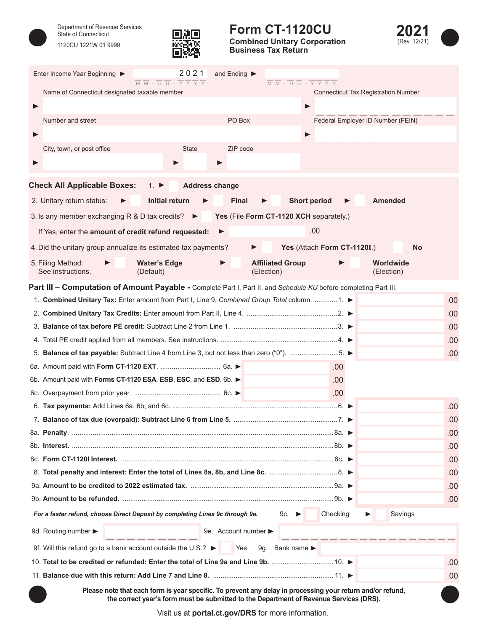

Department of Revenue Services State of Connecticut 1120CU 1221W 01 9999



## **Form CT-1120CU**

**Combined Unitary Corporation Business Tax Return**



|                   | Enter Income Year Beginning ▶                  | $-2021$<br>$\overline{M}$ $\overline{M}$ - $\overline{D}$ $\overline{D}$ - $\overline{Y}$ $\overline{Y}$ $\overline{Y}$ $\overline{Y}$                                                               |   | and Ending $\blacktriangleright$        | $\overline{M} \ \overline{M} - \overline{D} \ \overline{D} - \overline{Y} \ \overline{Y} \ \overline{Y}$ |                     |                                            |                         |     |
|-------------------|------------------------------------------------|------------------------------------------------------------------------------------------------------------------------------------------------------------------------------------------------------|---|-----------------------------------------|----------------------------------------------------------------------------------------------------------|---------------------|--------------------------------------------|-------------------------|-----|
|                   | Name of Connecticut designated taxable member  |                                                                                                                                                                                                      |   |                                         |                                                                                                          |                     | <b>Connecticut Tax Registration Number</b> |                         |     |
|                   |                                                |                                                                                                                                                                                                      |   |                                         |                                                                                                          | ▶                   |                                            |                         |     |
|                   | Number and street                              |                                                                                                                                                                                                      |   | PO Box                                  |                                                                                                          |                     | Federal Employer ID Number (FEIN)          |                         |     |
|                   |                                                |                                                                                                                                                                                                      |   |                                         |                                                                                                          | ▶                   |                                            |                         |     |
|                   | City, town, or post office                     | <b>State</b>                                                                                                                                                                                         |   | ZIP code                                |                                                                                                          |                     |                                            |                         |     |
|                   |                                                |                                                                                                                                                                                                      |   |                                         |                                                                                                          |                     |                                            |                         |     |
|                   |                                                |                                                                                                                                                                                                      |   |                                         |                                                                                                          |                     |                                            |                         |     |
|                   | <b>Check All Applicable Boxes:</b>             | <b>Address change</b><br>1. $\blacktriangleright$                                                                                                                                                    |   |                                         |                                                                                                          |                     |                                            |                         |     |
|                   | 2. Unitary return status:                      | Initial return                                                                                                                                                                                       |   | <b>Final</b>                            |                                                                                                          | <b>Short period</b> |                                            | <b>Amended</b>          |     |
|                   | 3. Is any member exchanging R & D tax credits? |                                                                                                                                                                                                      |   | Yes (File Form CT-1120 XCH separately.) |                                                                                                          |                     |                                            |                         |     |
|                   |                                                | If Yes, enter the amount of credit refund requested:                                                                                                                                                 | ▶ |                                         |                                                                                                          |                     | .00                                        |                         |     |
|                   |                                                | 4. Did the unitary group annualize its estimated tax payments?                                                                                                                                       |   |                                         |                                                                                                          |                     | Yes (Attach Form CT-1120I.)                | No                      |     |
| 5. Filing Method: | See instructions.                              | <b>Water's Edge</b><br>(Default)                                                                                                                                                                     |   | (Election)                              | <b>Affiliated Group</b>                                                                                  |                     |                                            | Worldwide<br>(Election) |     |
|                   |                                                | Part III - Computation of Amount Payable - Complete Part I, Part II, and Schedule KU before completing Part III.                                                                                     |   |                                         |                                                                                                          |                     |                                            |                         |     |
|                   |                                                | 1. Combined Unitary Tax: Enter amount from Part I, Line 9, Combined Group Total column.  1.                                                                                                          |   |                                         |                                                                                                          |                     |                                            |                         | .00 |
|                   |                                                |                                                                                                                                                                                                      |   |                                         |                                                                                                          |                     |                                            |                         | .00 |
|                   |                                                |                                                                                                                                                                                                      |   |                                         |                                                                                                          |                     |                                            |                         | .00 |
|                   |                                                |                                                                                                                                                                                                      |   |                                         |                                                                                                          |                     |                                            |                         | .00 |
|                   |                                                | 5. Balance of tax payable: Subtract Line 4 from Line 3, but not less than zero ("0"). 5.                                                                                                             |   |                                         |                                                                                                          |                     |                                            |                         | .00 |
|                   |                                                |                                                                                                                                                                                                      |   |                                         |                                                                                                          |                     | .00                                        |                         |     |
|                   |                                                | 6b. Amount paid with Forms CT-1120 ESA, ESB, ESC, and ESD. 6b.                                                                                                                                       |   |                                         |                                                                                                          |                     | .00.                                       |                         |     |
|                   |                                                |                                                                                                                                                                                                      |   |                                         |                                                                                                          |                     | .00.                                       |                         |     |
|                   |                                                |                                                                                                                                                                                                      |   |                                         |                                                                                                          |                     |                                            |                         | .00 |
|                   |                                                |                                                                                                                                                                                                      |   |                                         |                                                                                                          |                     |                                            |                         | .00 |
|                   |                                                |                                                                                                                                                                                                      |   |                                         |                                                                                                          |                     |                                            |                         | .00 |
|                   |                                                |                                                                                                                                                                                                      |   |                                         |                                                                                                          |                     |                                            |                         | .00 |
|                   |                                                |                                                                                                                                                                                                      |   |                                         |                                                                                                          |                     |                                            |                         | .00 |
|                   |                                                |                                                                                                                                                                                                      |   |                                         |                                                                                                          |                     |                                            |                         | .00 |
|                   |                                                |                                                                                                                                                                                                      |   |                                         |                                                                                                          |                     |                                            |                         | .00 |
|                   |                                                |                                                                                                                                                                                                      |   |                                         |                                                                                                          |                     |                                            |                         | .00 |
|                   |                                                | For a faster refund, choose Direct Deposit by completing Lines 9c through 9e.                                                                                                                        |   |                                         | 9c. l                                                                                                    |                     | Checking                                   | Savings                 |     |
|                   | 9d. Routing number >                           |                                                                                                                                                                                                      |   | 9e. Account number                      |                                                                                                          |                     |                                            |                         |     |
|                   |                                                | 9f. Will this refund go to a bank account outside the U.S.? $\blacktriangleright$                                                                                                                    |   | Yes                                     | 9g. Bank name                                                                                            |                     |                                            |                         |     |
|                   |                                                |                                                                                                                                                                                                      |   |                                         |                                                                                                          |                     |                                            |                         | .00 |
|                   |                                                |                                                                                                                                                                                                      |   |                                         |                                                                                                          |                     |                                            |                         | .00 |
|                   |                                                | Please note that each form is year specific. To prevent any delay in processing your return and/or refund,<br>the correct year's form must be submitted to the Department of Revenue Services (DRS). |   |                                         |                                                                                                          |                     |                                            |                         |     |

Visit us at **portal[.ct.gov/DRS](https://portal.ct.gov/DRS)** for more information.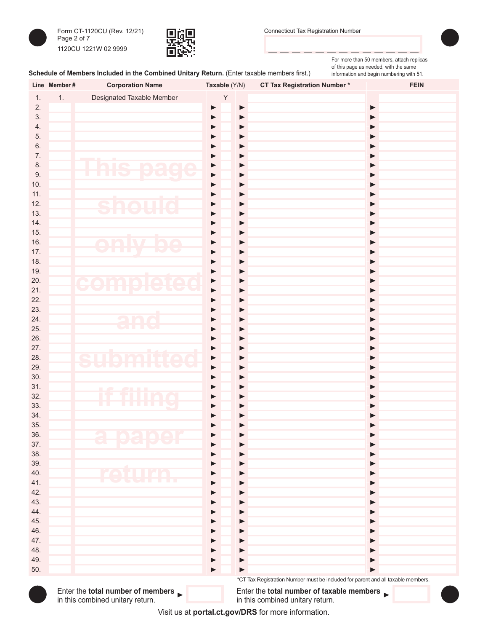



For more than 50 members, attach replicas of this page as needed, with the same information and begin numbering with 51.

## Schedule of Members Included in the Combined Unitary Return. (Enter taxable members first.)

|            | Line Member# | <b>Corporation Name</b>                                                                     | Taxable (Y/N)              | <b>CT Tax Registration Number*</b>                                                                  | <b>FEIN</b>           |
|------------|--------------|---------------------------------------------------------------------------------------------|----------------------------|-----------------------------------------------------------------------------------------------------|-----------------------|
| 1.         | 1.           | Designated Taxable Member                                                                   | $\sf Y$                    |                                                                                                     |                       |
| 2.         |              |                                                                                             | $\blacktriangleright$<br>▶ |                                                                                                     | ▶                     |
| 3.         |              |                                                                                             | ▶<br>▶                     |                                                                                                     | $\blacktriangleright$ |
| 4.         |              |                                                                                             | ▶<br>▶                     |                                                                                                     | ▶                     |
| 5.         |              |                                                                                             | ▶                          |                                                                                                     | ▶                     |
| $6.$       |              |                                                                                             | ▶                          |                                                                                                     | ▶                     |
| 7.         |              |                                                                                             | ▶                          |                                                                                                     | ▶                     |
| 8.         |              | hie<br>n a<br>NO                                                                            | ▶<br>▶                     |                                                                                                     | ▶                     |
| 9.         |              | $\overline{\phantom{0}}$<br>$\blacktriangledown$<br><b>START CONTROL</b><br>MU              | ▶<br>▶                     |                                                                                                     | ▶                     |
| 10.        |              |                                                                                             | ▶<br>▶                     |                                                                                                     | ▶                     |
| 11.        |              |                                                                                             | ▶                          |                                                                                                     | ▶                     |
| 12.        |              | <b>hou</b><br>$\sqrt{2}$                                                                    | ▶                          |                                                                                                     | ▶                     |
| 13.        |              |                                                                                             | ▶                          |                                                                                                     | ▶                     |
| 14.<br>15. |              |                                                                                             | ▶                          |                                                                                                     | ▶                     |
| 16.        |              |                                                                                             | ▶                          |                                                                                                     | ▶<br>▶                |
| 17.        |              | be<br>n M<br><u>ta Tit</u><br>M                                                             | ▶<br>▶                     |                                                                                                     | ▶                     |
| 18.        |              |                                                                                             | ▶                          |                                                                                                     | ▶                     |
| 19.        |              |                                                                                             | ▶                          |                                                                                                     | ▶                     |
| 20.        |              |                                                                                             | ▶<br>▶                     |                                                                                                     | ▶                     |
| 21.        |              | comple<br>ee                                                                                | ▶<br>▶                     |                                                                                                     | ▶                     |
| 22.        |              |                                                                                             | ▶                          |                                                                                                     | ▶                     |
| 23.        |              |                                                                                             | ▶                          |                                                                                                     | ▶                     |
| 24.        |              | and                                                                                         | ▶                          |                                                                                                     | ▶                     |
| 25.        |              |                                                                                             | ▶                          |                                                                                                     | ▶                     |
| 26.        |              |                                                                                             | ▶                          |                                                                                                     | ▶                     |
| 27.        |              |                                                                                             | ▶<br>▶                     |                                                                                                     | ▶                     |
| 28.        |              | SUD<br>mitt<br>$\Box$                                                                       | ▶<br>▶                     |                                                                                                     | ▶                     |
| 29.        |              | ш                                                                                           | ▶                          |                                                                                                     | ▶                     |
| 30.        |              |                                                                                             | ▶                          |                                                                                                     | ▶                     |
| 31.        |              | <b>CALL LA</b><br>里                                                                         | ▶                          |                                                                                                     | ▶                     |
| 32.        |              | THIAG<br>ш                                                                                  | ▶                          |                                                                                                     |                       |
| 33.        |              | LT L                                                                                        | ▶                          |                                                                                                     |                       |
| 34.        |              |                                                                                             |                            |                                                                                                     |                       |
| 35.        |              |                                                                                             |                            |                                                                                                     |                       |
| 36.        |              | 2 02 00 2                                                                                   |                            |                                                                                                     |                       |
| 37.        |              |                                                                                             | ▶                          |                                                                                                     |                       |
| 38.<br>39. |              |                                                                                             | ▶                          |                                                                                                     |                       |
| 40.        |              | I'ATILI                                                                                     | ▶                          |                                                                                                     |                       |
| 41.        |              |                                                                                             | ▶                          |                                                                                                     |                       |
| 42.        |              |                                                                                             | ▶                          |                                                                                                     |                       |
| 43.        |              |                                                                                             | ▶                          |                                                                                                     |                       |
| 44.        |              |                                                                                             | ▶                          |                                                                                                     |                       |
| 45.        |              |                                                                                             | ▶                          |                                                                                                     |                       |
| 46.        |              |                                                                                             | ▶                          |                                                                                                     |                       |
| 47.        |              |                                                                                             | ▶                          |                                                                                                     |                       |
| 48.        |              |                                                                                             | ▶                          |                                                                                                     |                       |
| 49.        |              |                                                                                             | ▶                          |                                                                                                     |                       |
| 50.        |              |                                                                                             | $\blacktriangleright$      |                                                                                                     |                       |
|            |              |                                                                                             |                            | *CT Tax Registration Number must be included for parent and all taxable members.                    |                       |
|            |              | Enter the total number of members $\blacktriangleright$<br>in this combined unitary return. |                            | Enter the total number of taxable members $\blacktriangleright$<br>in this combined unitary return. |                       |

Visit us at **portal[.ct.gov/DRS](https://portal.ct.gov/DRS)** for more information.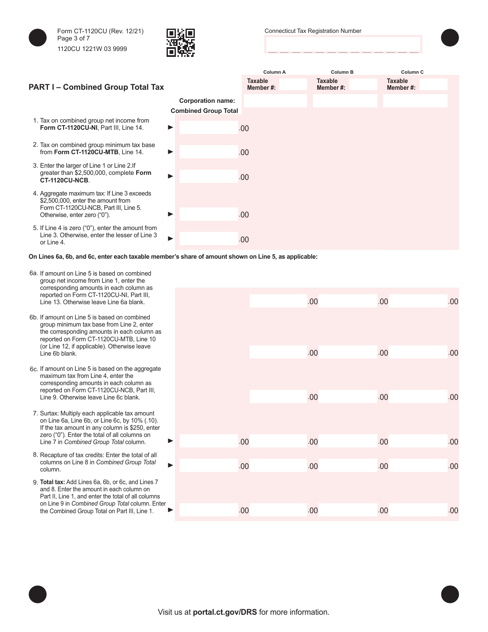

Form CT-1120CU (Rev. 12/21) Page 3 of 7 1120CU 1221W 03 9999



Connecticut Tax Registration Number



## **Column A Column B Column C PART I – Combined Group Total Tax Taxable Member #: Taxable Member #: Taxable Member #: Corporation name: Combined Group Total** 1. Tax on combined group net income from **Form CT-1120CU-NI**, Part III, Line 14. .00 2. Tax on combined group minimum tax base from **Form CT-1120CU-MTB**, Line 14.  $\blacktriangleright$   $\blacksquare$ 3. Enter the larger of Line 1 or Line 2.If greater than \$2,500,000, complete **Form CT-1120CU-NCB**. .00 4. Aggregate maximum tax: If Line 3 exceeds \$2,500,000, enter the amount from Form CT-1120CU-NCB, Part III, Line 5. Otherwise, enter zero ("0"). .00 5. If Line 4 is zero ("0"), enter the amount from Line 3. Otherwise, enter the lesser of Line 3 or Line 4. .00

**On Lines 6a, 6b, and 6c, enter each taxable member's share of amount shown on Line 5, as applicable:**

- 6a. If amount on Line 5 is based on combined group net income from Line 1, enter the corresponding amounts in each column as reported on Form CT-1120CU-NI, Part III, Line 13. Otherwise leave Line 6a blank.
- 6b. If amount on Line 5 is based on combined group minimum tax base from Line 2, enter the corresponding amounts in each column as reported on Form CT-1120CU-MTB, Line 10 (or Line 12, if applicable). Otherwise leave
- 6c. If amount on Line 5 is based on the aggregate maximum tax from Line 4, enter the corresponding amounts in each column as reported on Form CT-1120CU-NCB, Part III, Line 9. Otherwise leave Line 6c blank.
- 7. Surtax: Multiply each applicable tax amount on Line 6a, Line 6b, or Line 6c, by 10% (.10). If the tax amount in any column is \$250, enter zero ("0"). Enter the total of all columns on Line 7 in *Combined Group Total* column.
- 8. Recapture of tax credits: Enter the total of all columns on Line 8 in *Combined Group Total*
- 9. **Total tax:** Add Lines 6a, 6b, or 6c, and Lines 7 and 8. Enter the amount in each column on Part II, Line 1, and enter the total of all columns on Line 9 in *Combined Group Total* column. Enter the Combined Group Total on Part III, Line 1.

| concept namig annoame in oach colainn<br>reported on Form CT-1120CU-NI, Part III,<br>Line 13. Otherwise leave Line 6a blank.                                                    |     | .00 | .00 | .00 |
|---------------------------------------------------------------------------------------------------------------------------------------------------------------------------------|-----|-----|-----|-----|
| If amount on Line 5 is based on combined<br>group minimum tax base from Line 2, enter<br>the corresponding amounts in each column as<br>reported on Form CT-1120CU-MTB, Line 10 |     |     |     |     |
| (or Line 12, if applicable). Otherwise leave<br>Line 6b blank.                                                                                                                  |     | .00 | .00 | .00 |
| If amount on Line 5 is based on the aggregate<br>maximum tax from Line 4, enter the<br>corresponding amounts in each column as                                                  |     |     |     |     |
| reported on Form CT-1120CU-NCB, Part III,<br>Line 9. Otherwise leave Line 6c blank.                                                                                             |     | .00 | .00 | .00 |
| Surtax: Multiply each applicable tax amount<br>on Line 6a, Line 6b, or Line 6c, by 10% (.10).<br>If the tax amount in any column is \$250, enter                                |     |     |     |     |
| zero ("0"). Enter the total of all columns on<br>Line 7 in Combined Group Total column.                                                                                         | .00 | .00 | .00 | .00 |
| Recapture of tax credits: Enter the total of all<br>columns on Line 8 in Combined Group Total<br>column.                                                                        | .00 | .00 | .00 | .00 |
| Total tax: Add Lines 6a, 6b, or 6c, and Lines 7<br>and 8. Enter the amount in each column on<br>Part II, Line 1, and enter the total of all columns                             |     |     |     |     |
| on Line 9 in Combined Group Total column. Enter<br>the Combined Group Total on Part III, Line 1.<br>▶                                                                           | .00 | .00 | .00 | .00 |
|                                                                                                                                                                                 |     |     |     |     |

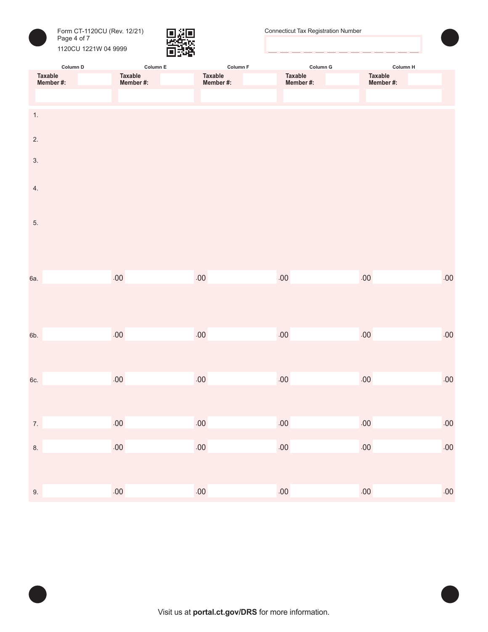



| Column D             |  | Column $E$           | Column F             | Column G             | Column H             |         |  |
|----------------------|--|----------------------|----------------------|----------------------|----------------------|---------|--|
| Taxable<br>Member #: |  | Taxable<br>Member #: | Taxable<br>Member #: | Taxable<br>Member #: | Taxable<br>Member #: |         |  |
|                      |  |                      |                      |                      |                      |         |  |
|                      |  |                      |                      |                      |                      |         |  |
| 1.                   |  |                      |                      |                      |                      |         |  |
|                      |  |                      |                      |                      |                      |         |  |
| 2.                   |  |                      |                      |                      |                      |         |  |
|                      |  |                      |                      |                      |                      |         |  |
| 3.                   |  |                      |                      |                      |                      |         |  |
|                      |  |                      |                      |                      |                      |         |  |
| 4.                   |  |                      |                      |                      |                      |         |  |
|                      |  |                      |                      |                      |                      |         |  |
|                      |  |                      |                      |                      |                      |         |  |
| 5.                   |  |                      |                      |                      |                      |         |  |
|                      |  |                      |                      |                      |                      |         |  |
|                      |  |                      |                      |                      |                      |         |  |
|                      |  |                      |                      |                      |                      |         |  |
|                      |  | .00                  | .00                  | $.00\,$              | $.00\,$              |         |  |
| 6a.                  |  |                      |                      |                      |                      | $.00\,$ |  |
|                      |  |                      |                      |                      |                      |         |  |
|                      |  |                      |                      |                      |                      |         |  |
|                      |  |                      |                      |                      |                      |         |  |
| 6b.                  |  | $.00\,$              | .00                  | $.00\,$              | .00                  | $.00\,$ |  |
|                      |  |                      |                      |                      |                      |         |  |
|                      |  |                      |                      |                      |                      |         |  |
|                      |  |                      |                      |                      |                      |         |  |
| 6c.                  |  | .00                  | $.00\,$              | .00                  | $.00\,$              | $.00\,$ |  |
|                      |  |                      |                      |                      |                      |         |  |
|                      |  |                      |                      |                      |                      |         |  |
| 7.                   |  | .00                  | .00                  | .00                  | .00                  | .00     |  |
|                      |  |                      |                      |                      |                      |         |  |
| 8.                   |  | $.00\,$              | $.00\,$              | $.00\,$              | $.00\,$              | .00     |  |
|                      |  |                      |                      |                      |                      |         |  |
|                      |  |                      |                      |                      |                      |         |  |
|                      |  |                      |                      |                      |                      |         |  |
| 9.                   |  | $.00\,$              | $.00\,$              | $.00\,$              | $.00\,$              | .00     |  |

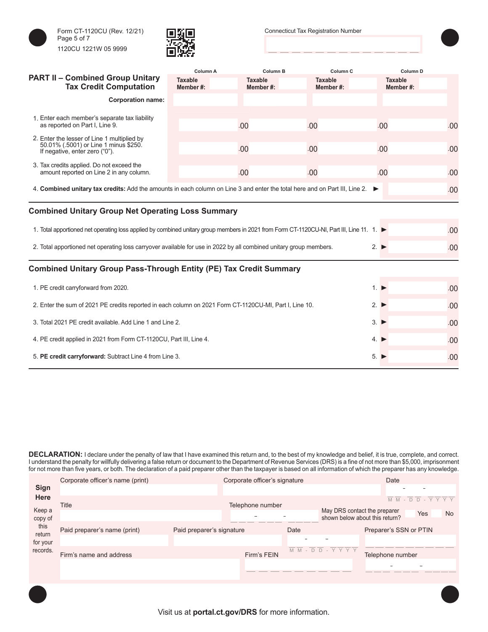





|                                                                                                                                         | Column A                    | Column B                   | Column <sub>C</sub>        | Column <sub>D</sub>        |     |
|-----------------------------------------------------------------------------------------------------------------------------------------|-----------------------------|----------------------------|----------------------------|----------------------------|-----|
| <b>PART II - Combined Group Unitary</b><br><b>Tax Credit Computation</b>                                                                | <b>Taxable</b><br>Member #: | <b>Taxable</b><br>Member#: | <b>Taxable</b><br>Member#: | <b>Taxable</b><br>Member#: |     |
| <b>Corporation name:</b>                                                                                                                |                             |                            |                            |                            |     |
|                                                                                                                                         |                             |                            |                            |                            |     |
| 1. Enter each member's separate tax liability<br>as reported on Part I, Line 9.                                                         |                             | .00                        | .00                        | .00                        | .00 |
| 2. Enter the lesser of Line 1 multiplied by<br>50.01% (.5001) or Line 1 minus \$250.                                                    |                             |                            |                            |                            |     |
| If negative, enter zero ("0").                                                                                                          |                             | .00                        | .00                        | .00                        | .00 |
| 3. Tax credits applied. Do not exceed the<br>amount reported on Line 2 in any column.                                                   |                             | .00                        | .00                        | .00                        | .00 |
|                                                                                                                                         |                             |                            |                            |                            |     |
| 4. Combined unitary tax credits: Add the amounts in each column on Line 3 and enter the total here and on Part III, Line 2.             |                             |                            |                            |                            | .00 |
| <b>Combined Unitary Group Net Operating Loss Summary</b>                                                                                |                             |                            |                            |                            |     |
|                                                                                                                                         |                             |                            |                            |                            |     |
| 1. Total apportioned net operating loss applied by combined unitary group members in 2021 from Form CT-1120CU-NI, Part III, Line 11. 1. |                             |                            |                            |                            | .00 |
| 2. Total apportioned net operating loss carryover available for use in 2022 by all combined unitary group members.                      |                             |                            |                            | $2. \triangleright$        | .00 |
|                                                                                                                                         |                             |                            |                            |                            |     |
| <b>Combined Unitary Group Pass-Through Entity (PE) Tax Credit Summary</b>                                                               |                             |                            |                            |                            |     |
| 1. PE credit carryforward from 2020.                                                                                                    |                             |                            |                            | $1. \triangleright$        | .00 |
| 2. Enter the sum of 2021 PE credits reported in each column on 2021 Form CT-1120CU-MI, Part I, Line 10.                                 |                             | $2. \triangleright$        | .00                        |                            |     |
| 3. Total 2021 PE credit available. Add Line 1 and Line 2.                                                                               | $3. \triangleright$         | .00                        |                            |                            |     |
| 4. PE credit applied in 2021 from Form CT-1120CU, Part III, Line 4.                                                                     |                             | $4. \triangleright$        | .00                        |                            |     |
| 5. PE credit carryforward: Subtract Line 4 from Line 3.                                                                                 |                             | 5.                         | .00                        |                            |     |

**DECLARATION:** I declare under the penalty of law that I have examined this return and, to the best of my knowledge and belief, it is true, complete, and correct. I understand the penalty for willfully delivering a false return or document to the Department of Revenue Services (DRS) is a fine of not more than \$5,000, imprisonment for not more than five years, or both. The declaration of a paid preparer other than the taxpayer is based on all information of which the preparer has any knowledge.

|                | Corporate officer's name (print) |                           | Corporate officer's signature |                                |                              |         |
|----------------|----------------------------------|---------------------------|-------------------------------|--------------------------------|------------------------------|---------|
| <b>Sign</b>    |                                  |                           |                               |                                |                              |         |
| <b>Here</b>    |                                  |                           |                               |                                | $M$ $M$ -<br>$D -$<br>$\Box$ | Y Y Y Y |
| Keep a         | Title                            | Telephone number          |                               | May DRS contact the preparer   | <b>Yes</b>                   | No.     |
| copy of        |                                  |                           |                               | shown below about this return? |                              |         |
| this<br>return | Paid preparer's name (print)     | Paid preparer's signature | Date                          |                                | Preparer's SSN or PTIN       |         |
| for your       |                                  |                           |                               |                                |                              |         |
| records.       | Firm's name and address          | Firm's FEIN               |                               | M M - D D - Y Y Y Y            | Telephone number             |         |
|                |                                  |                           |                               |                                |                              |         |
|                |                                  |                           |                               |                                |                              |         |
|                |                                  |                           |                               |                                |                              |         |
|                |                                  |                           |                               |                                |                              |         |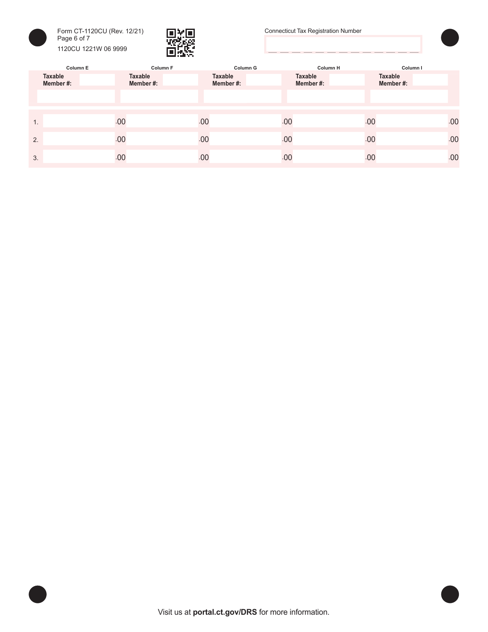



Connecticut Tax Registration Number



|    | Column E            |                            | Column F       | Column G | <b>Column H</b>     | Column I                   |
|----|---------------------|----------------------------|----------------|----------|---------------------|----------------------------|
|    | Taxable<br>Member#: | <b>Taxable</b><br>Member#: | <b>Taxable</b> | Member#: | Taxable<br>Member#: | <b>Taxable</b><br>Member#: |
|    |                     |                            |                |          |                     |                            |
|    |                     |                            |                |          |                     |                            |
| 1. |                     | .00                        | .00            | .00      | .00                 | .00                        |
| 2. |                     | .00                        | .00            | .00      | .00                 | .00                        |
| 3. |                     | .00                        | .00            | .00      | .00                 | .00                        |